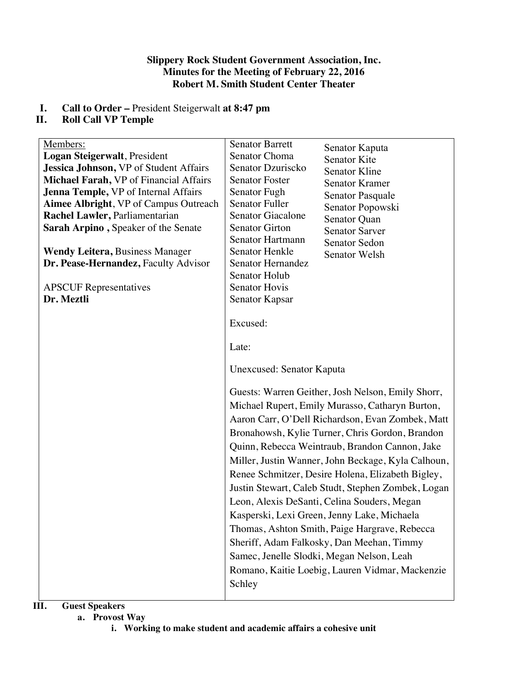### **Slippery Rock Student Government Association, Inc. Minutes for the Meeting of February 22, 2016 Robert M. Smith Student Center Theater**

# **I. Call to Order –** President Steigerwalt **at 8:47 pm**

## **Roll Call VP Temple**

| Members:                               | <b>Senator Barrett</b><br>Senator Kaputa           |
|----------------------------------------|----------------------------------------------------|
| Logan Steigerwalt, President           | Senator Choma<br><b>Senator Kite</b>               |
| Jessica Johnson, VP of Student Affairs | Senator Dzuriscko<br><b>Senator Kline</b>          |
| Michael Farah, VP of Financial Affairs | <b>Senator Foster</b><br>Senator Kramer            |
| Jenna Temple, VP of Internal Affairs   | Senator Fugh<br>Senator Pasquale                   |
| Aimee Albright, VP of Campus Outreach  | <b>Senator Fuller</b><br>Senator Popowski          |
| Rachel Lawler, Parliamentarian         | <b>Senator Giacalone</b><br>Senator Quan           |
| Sarah Arpino, Speaker of the Senate    | <b>Senator Girton</b><br><b>Senator Sarver</b>     |
|                                        | Senator Hartmann<br>Senator Sedon                  |
| <b>Wendy Leitera, Business Manager</b> | Senator Henkle<br>Senator Welsh                    |
| Dr. Pease-Hernandez, Faculty Advisor   | Senator Hernandez                                  |
|                                        | Senator Holub                                      |
| <b>APSCUF</b> Representatives          | <b>Senator Hovis</b>                               |
| Dr. Meztli                             | Senator Kapsar                                     |
|                                        | Excused:                                           |
|                                        | Late:                                              |
|                                        | Unexcused: Senator Kaputa                          |
|                                        | Guests: Warren Geither, Josh Nelson, Emily Shorr,  |
|                                        | Michael Rupert, Emily Murasso, Catharyn Burton,    |
|                                        | Aaron Carr, O'Dell Richardson, Evan Zombek, Matt   |
|                                        |                                                    |
|                                        | Bronahowsh, Kylie Turner, Chris Gordon, Brandon    |
|                                        | Quinn, Rebecca Weintraub, Brandon Cannon, Jake     |
|                                        | Miller, Justin Wanner, John Beckage, Kyla Calhoun, |
|                                        | Renee Schmitzer, Desire Holena, Elizabeth Bigley,  |
|                                        | Justin Stewart, Caleb Studt, Stephen Zombek, Logan |
|                                        | Leon, Alexis DeSanti, Celina Souders, Megan        |
|                                        | Kasperski, Lexi Green, Jenny Lake, Michaela        |
|                                        | Thomas, Ashton Smith, Paige Hargrave, Rebecca      |
|                                        |                                                    |
|                                        | Sheriff, Adam Falkosky, Dan Meehan, Timmy          |
|                                        | Samec, Jenelle Slodki, Megan Nelson, Leah          |
|                                        | Romano, Kaitie Loebig, Lauren Vidmar, Mackenzie    |
|                                        | Schley                                             |
|                                        |                                                    |

## **III. Guest Speakers**

#### **a. Provost Way**

**i. Working to make student and academic affairs a cohesive unit**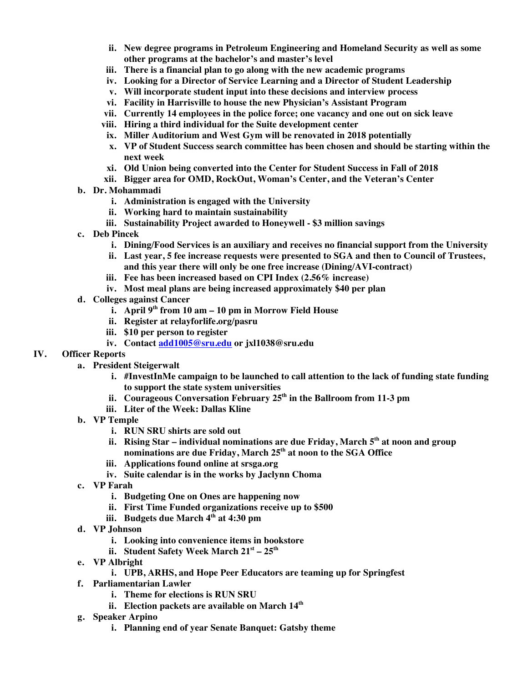- **ii. New degree programs in Petroleum Engineering and Homeland Security as well as some other programs at the bachelor's and master's level**
- **iii. There is a financial plan to go along with the new academic programs**
- **iv. Looking for a Director of Service Learning and a Director of Student Leadership**
- **v. Will incorporate student input into these decisions and interview process**
- **vi. Facility in Harrisville to house the new Physician's Assistant Program**
- **vii. Currently 14 employees in the police force; one vacancy and one out on sick leave**
- **viii. Hiring a third individual for the Suite development center**
- **ix. Miller Auditorium and West Gym will be renovated in 2018 potentially**
- **x. VP of Student Success search committee has been chosen and should be starting within the next week**
- **xi. Old Union being converted into the Center for Student Success in Fall of 2018**
- **xii. Bigger area for OMD, RockOut, Woman's Center, and the Veteran's Center**
- **b. Dr. Mohammadi**
	- **i. Administration is engaged with the University**
	- **ii. Working hard to maintain sustainability**
	- **iii. Sustainability Project awarded to Honeywell - \$3 million savings**
- **c. Deb Pincek**
	- **i. Dining/Food Services is an auxiliary and receives no financial support from the University**
	- **ii. Last year, 5 fee increase requests were presented to SGA and then to Council of Trustees, and this year there will only be one free increase (Dining/AVI-contract)**
	- **iii. Fee has been increased based on CPI Index (2.56% increase)**
	- **iv. Most meal plans are being increased approximately \$40 per plan**
- **d. Colleges against Cancer**
	- **i. April 9th from 10 am – 10 pm in Morrow Field House**
	- **ii. Register at relayforlife.org/pasru**
	- **iii. \$10 per person to register**
	- **iv. Contact add1005@sru.edu or jxl1038@sru.edu**

#### **IV. Officer Reports**

- **a. President Steigerwalt**
	- **i. #InvestInMe campaign to be launched to call attention to the lack of funding state funding to support the state system universities**
	- **ii. Courageous Conversation February 25th in the Ballroom from 11-3 pm**
	- **iii. Liter of the Week: Dallas Kline**
- **b. VP Temple**
	- **i. RUN SRU shirts are sold out**
	- **ii. Rising Star – individual nominations are due Friday, March 5th at noon and group nominations are due Friday, March 25th at noon to the SGA Office**
	- **iii. Applications found online at srsga.org**
	- **iv. Suite calendar is in the works by Jaclynn Choma**
- **c. VP Farah**
	- **i. Budgeting One on Ones are happening now**
	- **ii. First Time Funded organizations receive up to \$500**
	- **iii. Budgets due March 4th at 4:30 pm**
- **d. VP Johnson**
	- **i. Looking into convenience items in bookstore**
	- **ii. Student Safety Week March 21st – 25th**
- **e. VP Albright**
	- **i. UPB, ARHS, and Hope Peer Educators are teaming up for Springfest**
- **f. Parliamentarian Lawler**
	- **i. Theme for elections is RUN SRU**
	- **ii. Election packets are available on March 14th**
- **g. Speaker Arpino**
	- **i. Planning end of year Senate Banquet: Gatsby theme**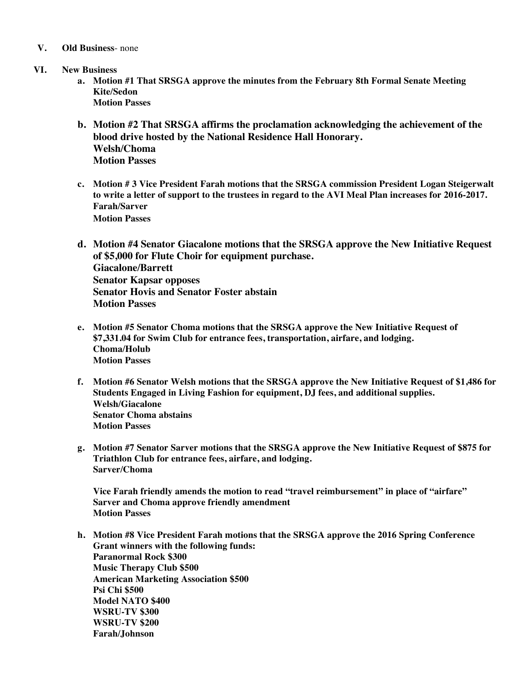- **V. Old Business** none
- **VI. New Business**
	- **a. Motion #1 That SRSGA approve the minutes from the February 8th Formal Senate Meeting Kite/Sedon Motion Passes**
	- **b. Motion #2 That SRSGA affirms the proclamation acknowledging the achievement of the blood drive hosted by the National Residence Hall Honorary. Welsh/Choma Motion Passes**
	- **c. Motion # 3 Vice President Farah motions that the SRSGA commission President Logan Steigerwalt to write a letter of support to the trustees in regard to the AVI Meal Plan increases for 2016-2017. Farah/Sarver Motion Passes**
	- **d. Motion #4 Senator Giacalone motions that the SRSGA approve the New Initiative Request of \$5,000 for Flute Choir for equipment purchase. Giacalone/Barrett Senator Kapsar opposes Senator Hovis and Senator Foster abstain Motion Passes**
	- **e. Motion #5 Senator Choma motions that the SRSGA approve the New Initiative Request of \$7,331.04 for Swim Club for entrance fees, transportation, airfare, and lodging. Choma/Holub Motion Passes**
	- **f. Motion #6 Senator Welsh motions that the SRSGA approve the New Initiative Request of \$1,486 for Students Engaged in Living Fashion for equipment, DJ fees, and additional supplies. Welsh/Giacalone Senator Choma abstains Motion Passes**
	- **g. Motion #7 Senator Sarver motions that the SRSGA approve the New Initiative Request of \$875 for Triathlon Club for entrance fees, airfare, and lodging. Sarver/Choma**

**Vice Farah friendly amends the motion to read "travel reimbursement" in place of "airfare" Sarver and Choma approve friendly amendment Motion Passes**

**h. Motion #8 Vice President Farah motions that the SRSGA approve the 2016 Spring Conference Grant winners with the following funds: Paranormal Rock \$300 Music Therapy Club \$500 American Marketing Association \$500 Psi Chi \$500 Model NATO \$400 WSRU-TV \$300 WSRU-TV \$200 Farah/Johnson**